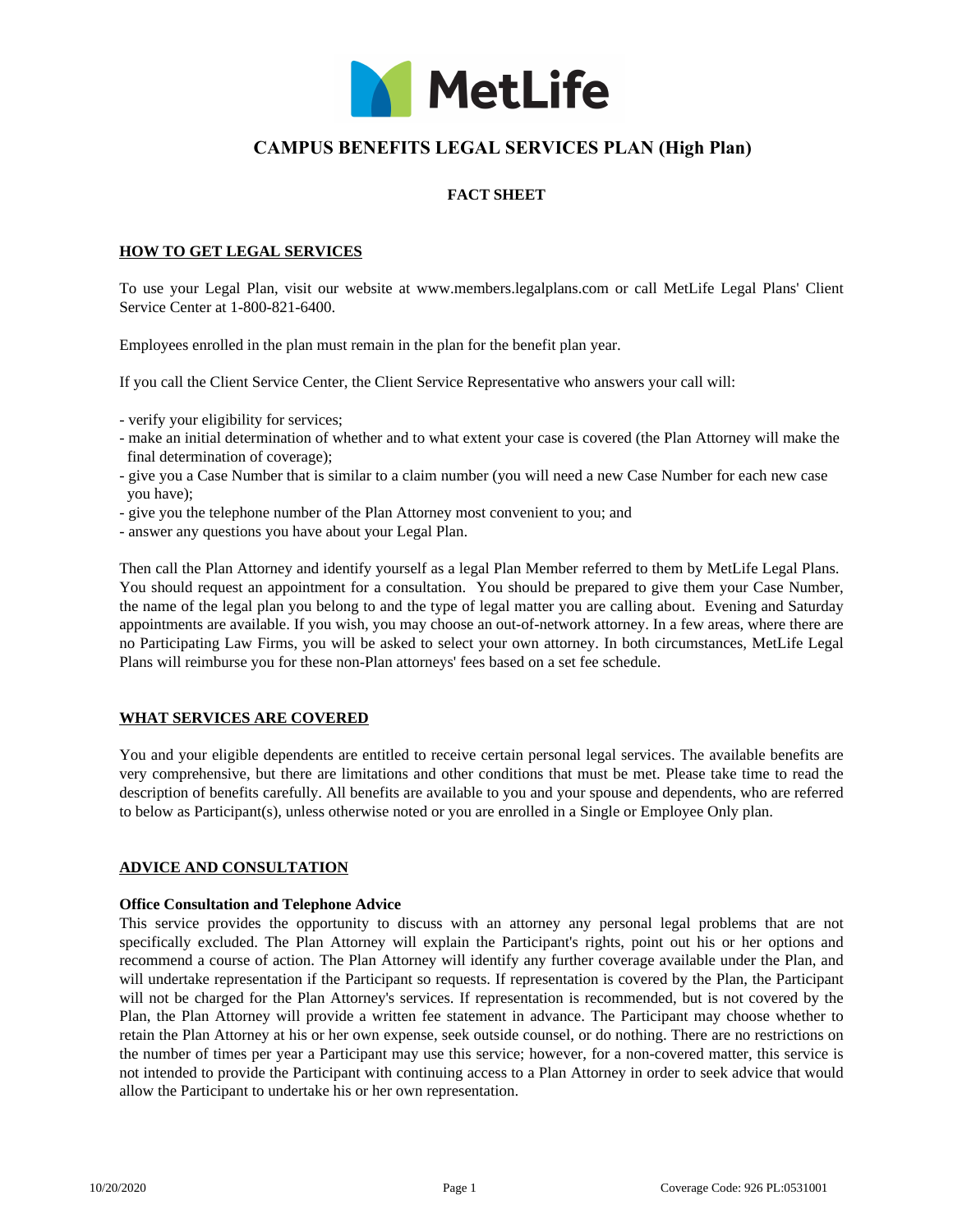

# **CAMPUS BENEFITS LEGAL SERVICES PLAN (High Plan)**

# **FACT SHEET**

## **HOW TO GET LEGAL SERVICES**

To use your Legal Plan, visit our website at www.members.legalplans.com or call MetLife Legal Plans' Client Service Center at 1-800-821-6400.

Employees enrolled in the plan must remain in the plan for the benefit plan year.

If you call the Client Service Center, the Client Service Representative who answers your call will:

- verify your eligibility for services;
- make an initial determination of whether and to what extent your case is covered (the Plan Attorney will make the final determination of coverage);
- give you a Case Number that is similar to a claim number (you will need a new Case Number for each new case you have);
- give you the telephone number of the Plan Attorney most convenient to you; and
- answer any questions you have about your Legal Plan.

Then call the Plan Attorney and identify yourself as a legal Plan Member referred to them by MetLife Legal Plans. You should request an appointment for a consultation. You should be prepared to give them your Case Number, the name of the legal plan you belong to and the type of legal matter you are calling about. Evening and Saturday appointments are available. If you wish, you may choose an out-of-network attorney. In a few areas, where there are no Participating Law Firms, you will be asked to select your own attorney. In both circumstances, MetLife Legal Plans will reimburse you for these non-Plan attorneys' fees based on a set fee schedule.

# **WHAT SERVICES ARE COVERED**

You and your eligible dependents are entitled to receive certain personal legal services. The available benefits are very comprehensive, but there are limitations and other conditions that must be met. Please take time to read the description of benefits carefully. All benefits are available to you and your spouse and dependents, who are referred to below as Participant(s), unless otherwise noted or you are enrolled in a Single or Employee Only plan.

#### **ADVICE AND CONSULTATION**

#### **Office Consultation and Telephone Advice**

This service provides the opportunity to discuss with an attorney any personal legal problems that are not specifically excluded. The Plan Attorney will explain the Participant's rights, point out his or her options and recommend a course of action. The Plan Attorney will identify any further coverage available under the Plan, and will undertake representation if the Participant so requests. If representation is covered by the Plan, the Participant will not be charged for the Plan Attorney's services. If representation is recommended, but is not covered by the Plan, the Plan Attorney will provide a written fee statement in advance. The Participant may choose whether to retain the Plan Attorney at his or her own expense, seek outside counsel, or do nothing. There are no restrictions on the number of times per year a Participant may use this service; however, for a non-covered matter, this service is not intended to provide the Participant with continuing access to a Plan Attorney in order to seek advice that would allow the Participant to undertake his or her own representation.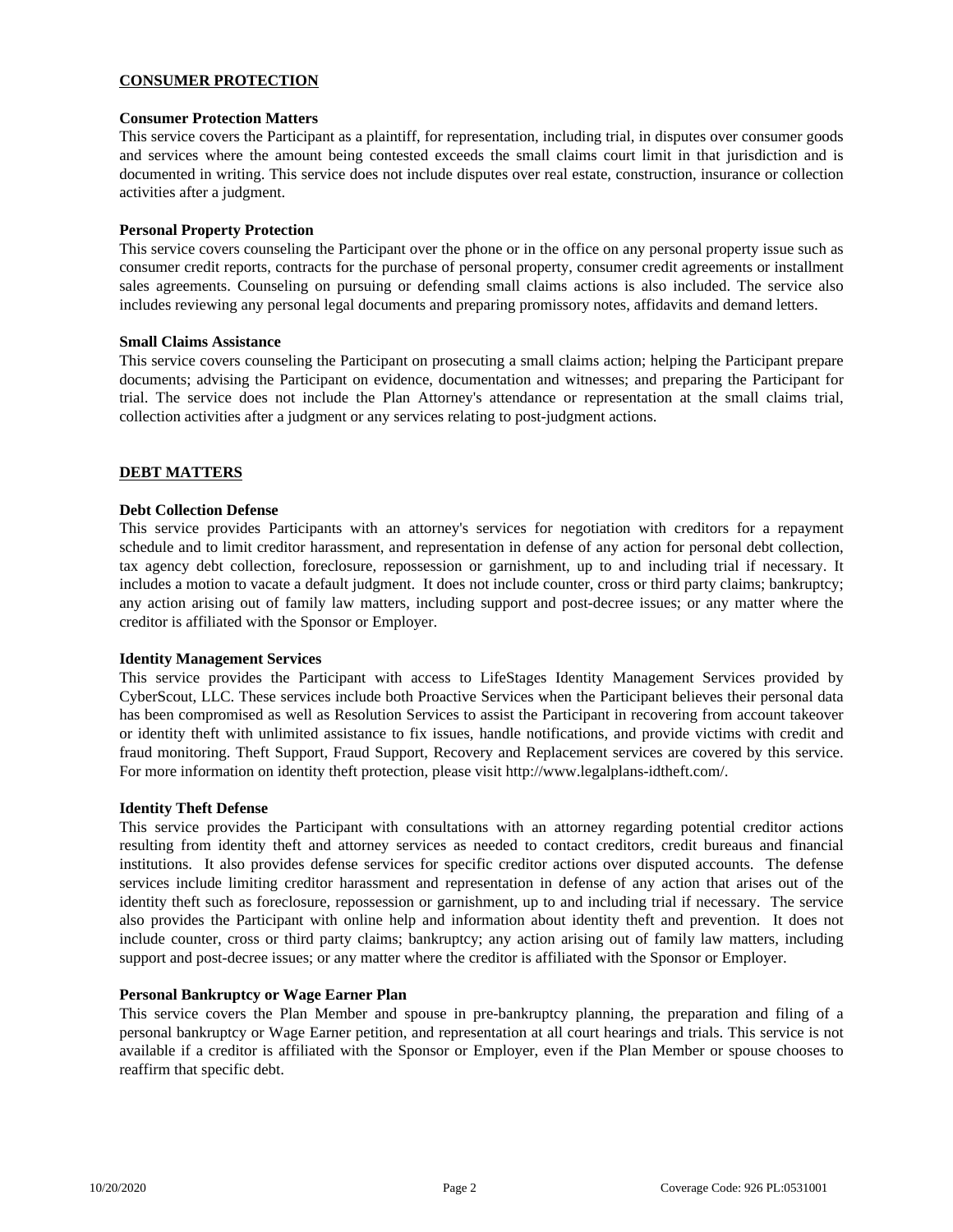# **CONSUMER PROTECTION**

## **Consumer Protection Matters**

This service covers the Participant as a plaintiff, for representation, including trial, in disputes over consumer goods and services where the amount being contested exceeds the small claims court limit in that jurisdiction and is documented in writing. This service does not include disputes over real estate, construction, insurance or collection activities after a judgment.

## **Personal Property Protection**

This service covers counseling the Participant over the phone or in the office on any personal property issue such as consumer credit reports, contracts for the purchase of personal property, consumer credit agreements or installment sales agreements. Counseling on pursuing or defending small claims actions is also included. The service also includes reviewing any personal legal documents and preparing promissory notes, affidavits and demand letters.

## **Small Claims Assistance**

This service covers counseling the Participant on prosecuting a small claims action; helping the Participant prepare documents; advising the Participant on evidence, documentation and witnesses; and preparing the Participant for trial. The service does not include the Plan Attorney's attendance or representation at the small claims trial, collection activities after a judgment or any services relating to post-judgment actions.

## **DEBT MATTERS**

#### **Debt Collection Defense**

This service provides Participants with an attorney's services for negotiation with creditors for a repayment schedule and to limit creditor harassment, and representation in defense of any action for personal debt collection, tax agency debt collection, foreclosure, repossession or garnishment, up to and including trial if necessary. It includes a motion to vacate a default judgment. It does not include counter, cross or third party claims; bankruptcy; any action arising out of family law matters, including support and post-decree issues; or any matter where the creditor is affiliated with the Sponsor or Employer.

#### **Identity Management Services**

This service provides the Participant with access to LifeStages Identity Management Services provided by CyberScout, LLC. These services include both Proactive Services when the Participant believes their personal data has been compromised as well as Resolution Services to assist the Participant in recovering from account takeover or identity theft with unlimited assistance to fix issues, handle notifications, and provide victims with credit and fraud monitoring. Theft Support, Fraud Support, Recovery and Replacement services are covered by this service. For more information on identity theft protection, please visit http://www.legalplans-idtheft.com/.

#### **Identity Theft Defense**

This service provides the Participant with consultations with an attorney regarding potential creditor actions resulting from identity theft and attorney services as needed to contact creditors, credit bureaus and financial institutions. It also provides defense services for specific creditor actions over disputed accounts. The defense services include limiting creditor harassment and representation in defense of any action that arises out of the identity theft such as foreclosure, repossession or garnishment, up to and including trial if necessary. The service also provides the Participant with online help and information about identity theft and prevention. It does not include counter, cross or third party claims; bankruptcy; any action arising out of family law matters, including support and post-decree issues; or any matter where the creditor is affiliated with the Sponsor or Employer.

#### **Personal Bankruptcy or Wage Earner Plan**

This service covers the Plan Member and spouse in pre-bankruptcy planning, the preparation and filing of a personal bankruptcy or Wage Earner petition, and representation at all court hearings and trials. This service is not available if a creditor is affiliated with the Sponsor or Employer, even if the Plan Member or spouse chooses to reaffirm that specific debt.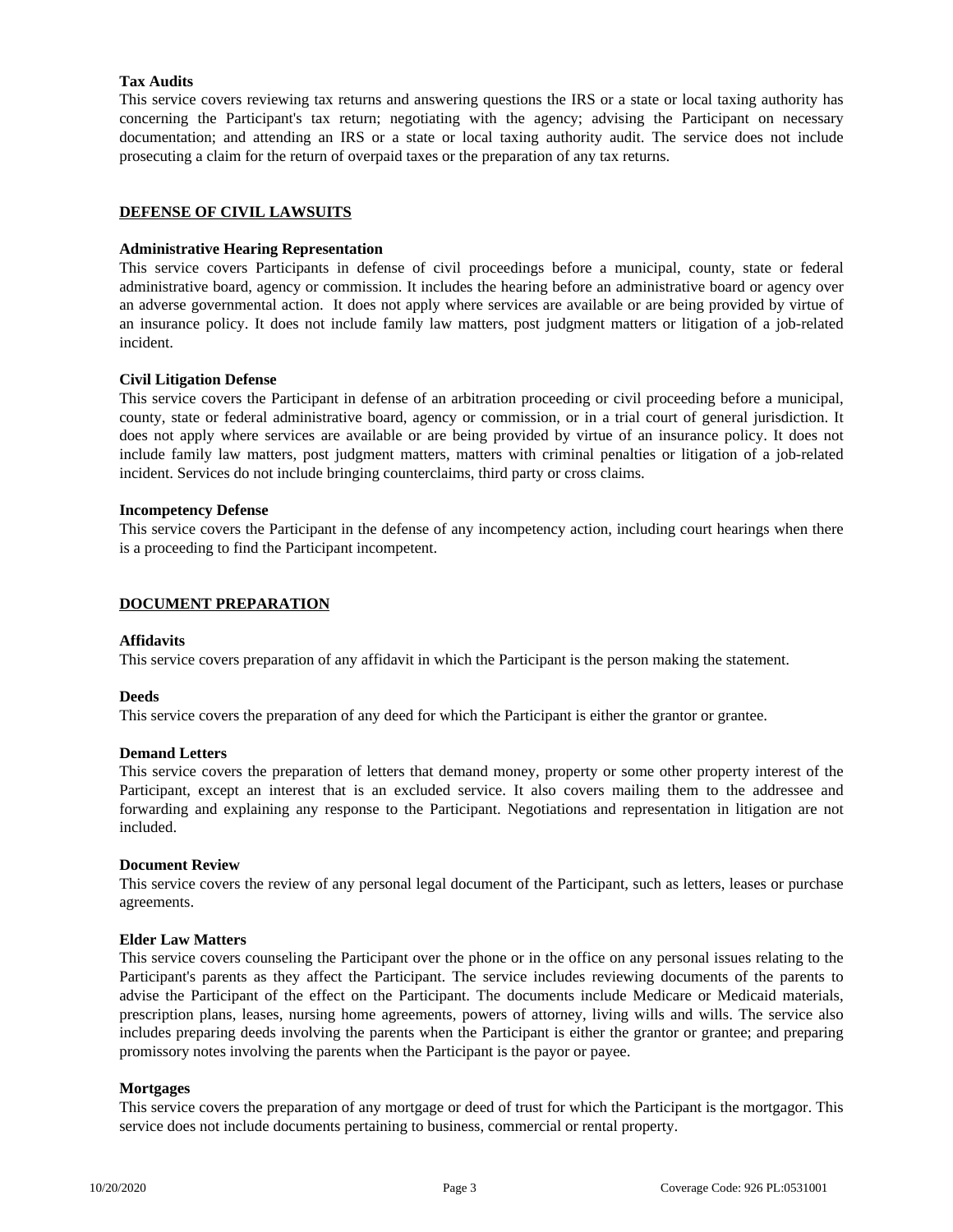# **Tax Audits**

This service covers reviewing tax returns and answering questions the IRS or a state or local taxing authority has concerning the Participant's tax return; negotiating with the agency; advising the Participant on necessary documentation; and attending an IRS or a state or local taxing authority audit. The service does not include prosecuting a claim for the return of overpaid taxes or the preparation of any tax returns.

## **DEFENSE OF CIVIL LAWSUITS**

## **Administrative Hearing Representation**

This service covers Participants in defense of civil proceedings before a municipal, county, state or federal administrative board, agency or commission. It includes the hearing before an administrative board or agency over an adverse governmental action. It does not apply where services are available or are being provided by virtue of an insurance policy. It does not include family law matters, post judgment matters or litigation of a job-related incident.

## **Civil Litigation Defense**

This service covers the Participant in defense of an arbitration proceeding or civil proceeding before a municipal, county, state or federal administrative board, agency or commission, or in a trial court of general jurisdiction. It does not apply where services are available or are being provided by virtue of an insurance policy. It does not include family law matters, post judgment matters, matters with criminal penalties or litigation of a job-related incident. Services do not include bringing counterclaims, third party or cross claims.

#### **Incompetency Defense**

This service covers the Participant in the defense of any incompetency action, including court hearings when there is a proceeding to find the Participant incompetent.

## **DOCUMENT PREPARATION**

## **Affidavits**

This service covers preparation of any affidavit in which the Participant is the person making the statement.

#### **Deeds**

This service covers the preparation of any deed for which the Participant is either the grantor or grantee.

#### **Demand Letters**

This service covers the preparation of letters that demand money, property or some other property interest of the Participant, except an interest that is an excluded service. It also covers mailing them to the addressee and forwarding and explaining any response to the Participant. Negotiations and representation in litigation are not included.

#### **Document Review**

This service covers the review of any personal legal document of the Participant, such as letters, leases or purchase agreements.

#### **Elder Law Matters**

This service covers counseling the Participant over the phone or in the office on any personal issues relating to the Participant's parents as they affect the Participant. The service includes reviewing documents of the parents to advise the Participant of the effect on the Participant. The documents include Medicare or Medicaid materials, prescription plans, leases, nursing home agreements, powers of attorney, living wills and wills. The service also includes preparing deeds involving the parents when the Participant is either the grantor or grantee; and preparing promissory notes involving the parents when the Participant is the payor or payee.

### **Mortgages**

This service covers the preparation of any mortgage or deed of trust for which the Participant is the mortgagor. This service does not include documents pertaining to business, commercial or rental property.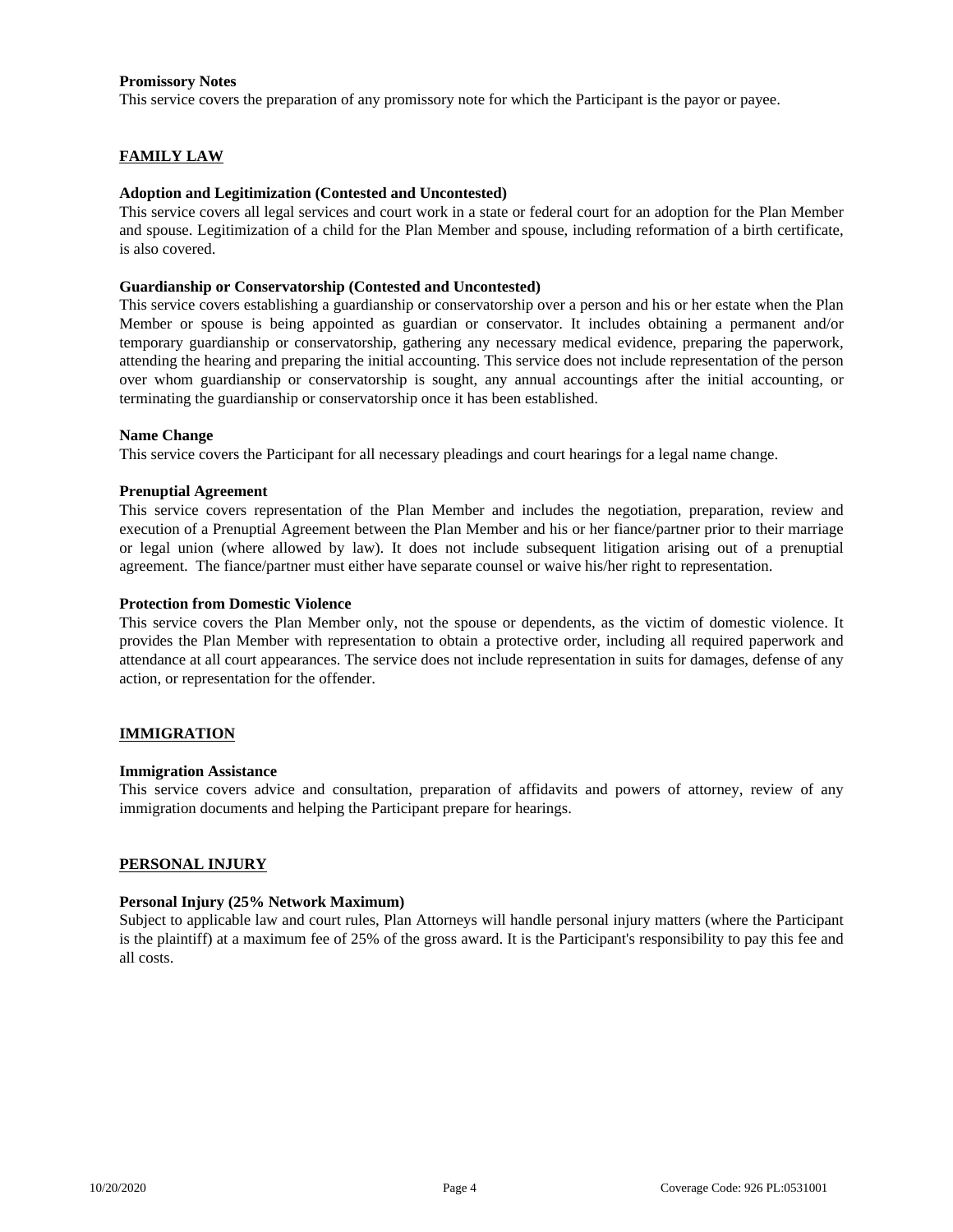## **Promissory Notes**

This service covers the preparation of any promissory note for which the Participant is the payor or payee.

## **FAMILY LAW**

## **Adoption and Legitimization (Contested and Uncontested)**

This service covers all legal services and court work in a state or federal court for an adoption for the Plan Member and spouse. Legitimization of a child for the Plan Member and spouse, including reformation of a birth certificate, is also covered.

## **Guardianship or Conservatorship (Contested and Uncontested)**

This service covers establishing a guardianship or conservatorship over a person and his or her estate when the Plan Member or spouse is being appointed as guardian or conservator. It includes obtaining a permanent and/or temporary guardianship or conservatorship, gathering any necessary medical evidence, preparing the paperwork, attending the hearing and preparing the initial accounting. This service does not include representation of the person over whom guardianship or conservatorship is sought, any annual accountings after the initial accounting, or terminating the guardianship or conservatorship once it has been established.

#### **Name Change**

This service covers the Participant for all necessary pleadings and court hearings for a legal name change.

## **Prenuptial Agreement**

This service covers representation of the Plan Member and includes the negotiation, preparation, review and execution of a Prenuptial Agreement between the Plan Member and his or her fiance/partner prior to their marriage or legal union (where allowed by law). It does not include subsequent litigation arising out of a prenuptial agreement. The fiance/partner must either have separate counsel or waive his/her right to representation.

## **Protection from Domestic Violence**

This service covers the Plan Member only, not the spouse or dependents, as the victim of domestic violence. It provides the Plan Member with representation to obtain a protective order, including all required paperwork and attendance at all court appearances. The service does not include representation in suits for damages, defense of any action, or representation for the offender.

# **IMMIGRATION**

#### **Immigration Assistance**

This service covers advice and consultation, preparation of affidavits and powers of attorney, review of any immigration documents and helping the Participant prepare for hearings.

#### **PERSONAL INJURY**

#### **Personal Injury (25% Network Maximum)**

Subject to applicable law and court rules, Plan Attorneys will handle personal injury matters (where the Participant is the plaintiff) at a maximum fee of 25% of the gross award. It is the Participant's responsibility to pay this fee and all costs.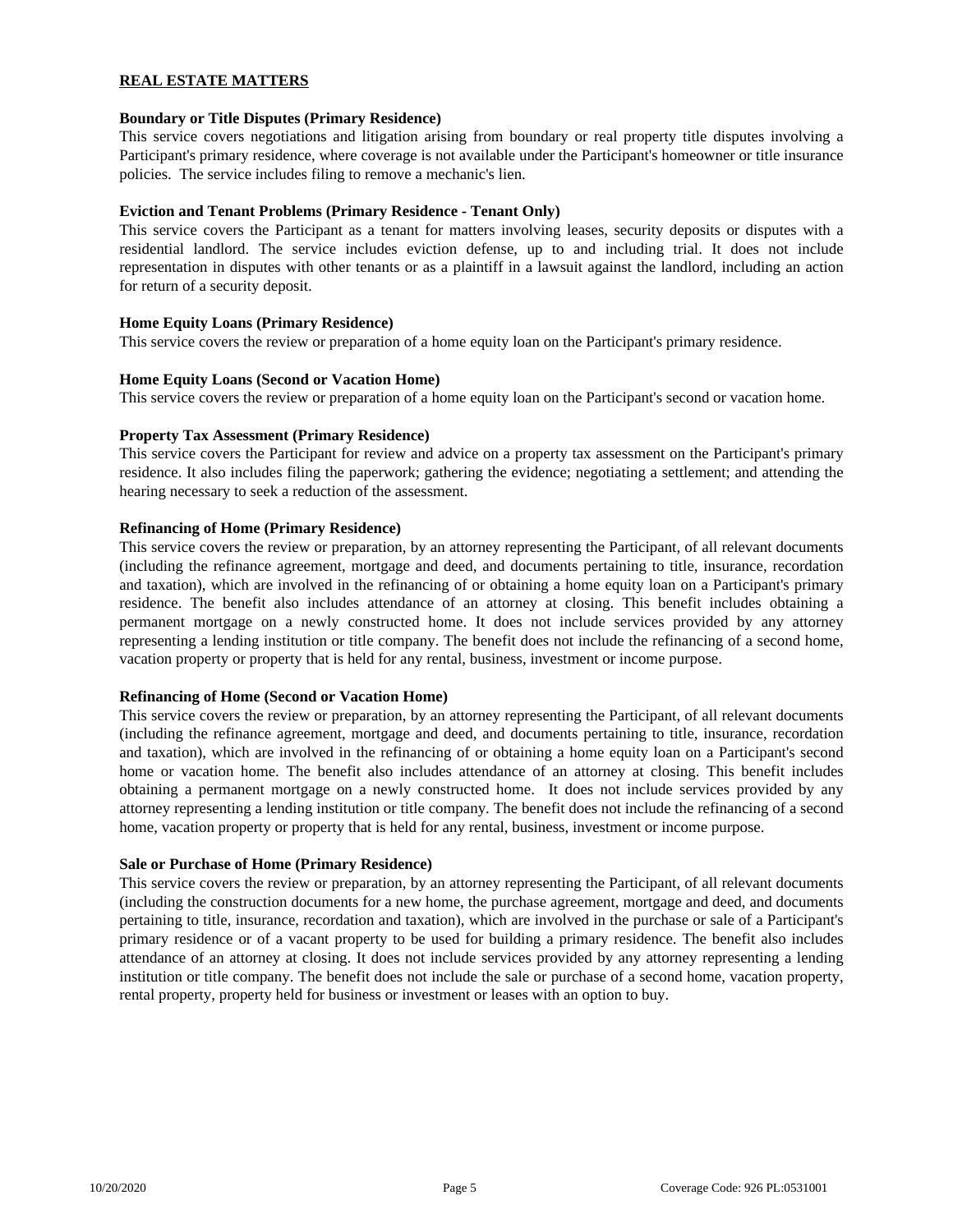# **REAL ESTATE MATTERS**

## **Boundary or Title Disputes (Primary Residence)**

This service covers negotiations and litigation arising from boundary or real property title disputes involving a Participant's primary residence, where coverage is not available under the Participant's homeowner or title insurance policies. The service includes filing to remove a mechanic's lien.

## **Eviction and Tenant Problems (Primary Residence - Tenant Only)**

This service covers the Participant as a tenant for matters involving leases, security deposits or disputes with a residential landlord. The service includes eviction defense, up to and including trial. It does not include representation in disputes with other tenants or as a plaintiff in a lawsuit against the landlord, including an action for return of a security deposit.

## **Home Equity Loans (Primary Residence)**

This service covers the review or preparation of a home equity loan on the Participant's primary residence.

## **Home Equity Loans (Second or Vacation Home)**

This service covers the review or preparation of a home equity loan on the Participant's second or vacation home.

## **Property Tax Assessment (Primary Residence)**

This service covers the Participant for review and advice on a property tax assessment on the Participant's primary residence. It also includes filing the paperwork; gathering the evidence; negotiating a settlement; and attending the hearing necessary to seek a reduction of the assessment.

## **Refinancing of Home (Primary Residence)**

This service covers the review or preparation, by an attorney representing the Participant, of all relevant documents (including the refinance agreement, mortgage and deed, and documents pertaining to title, insurance, recordation and taxation), which are involved in the refinancing of or obtaining a home equity loan on a Participant's primary residence. The benefit also includes attendance of an attorney at closing. This benefit includes obtaining a permanent mortgage on a newly constructed home. It does not include services provided by any attorney representing a lending institution or title company. The benefit does not include the refinancing of a second home, vacation property or property that is held for any rental, business, investment or income purpose.

#### **Refinancing of Home (Second or Vacation Home)**

This service covers the review or preparation, by an attorney representing the Participant, of all relevant documents (including the refinance agreement, mortgage and deed, and documents pertaining to title, insurance, recordation and taxation), which are involved in the refinancing of or obtaining a home equity loan on a Participant's second home or vacation home. The benefit also includes attendance of an attorney at closing. This benefit includes obtaining a permanent mortgage on a newly constructed home. It does not include services provided by any attorney representing a lending institution or title company. The benefit does not include the refinancing of a second home, vacation property or property that is held for any rental, business, investment or income purpose.

#### **Sale or Purchase of Home (Primary Residence)**

This service covers the review or preparation, by an attorney representing the Participant, of all relevant documents (including the construction documents for a new home, the purchase agreement, mortgage and deed, and documents pertaining to title, insurance, recordation and taxation), which are involved in the purchase or sale of a Participant's primary residence or of a vacant property to be used for building a primary residence. The benefit also includes attendance of an attorney at closing. It does not include services provided by any attorney representing a lending institution or title company. The benefit does not include the sale or purchase of a second home, vacation property, rental property, property held for business or investment or leases with an option to buy.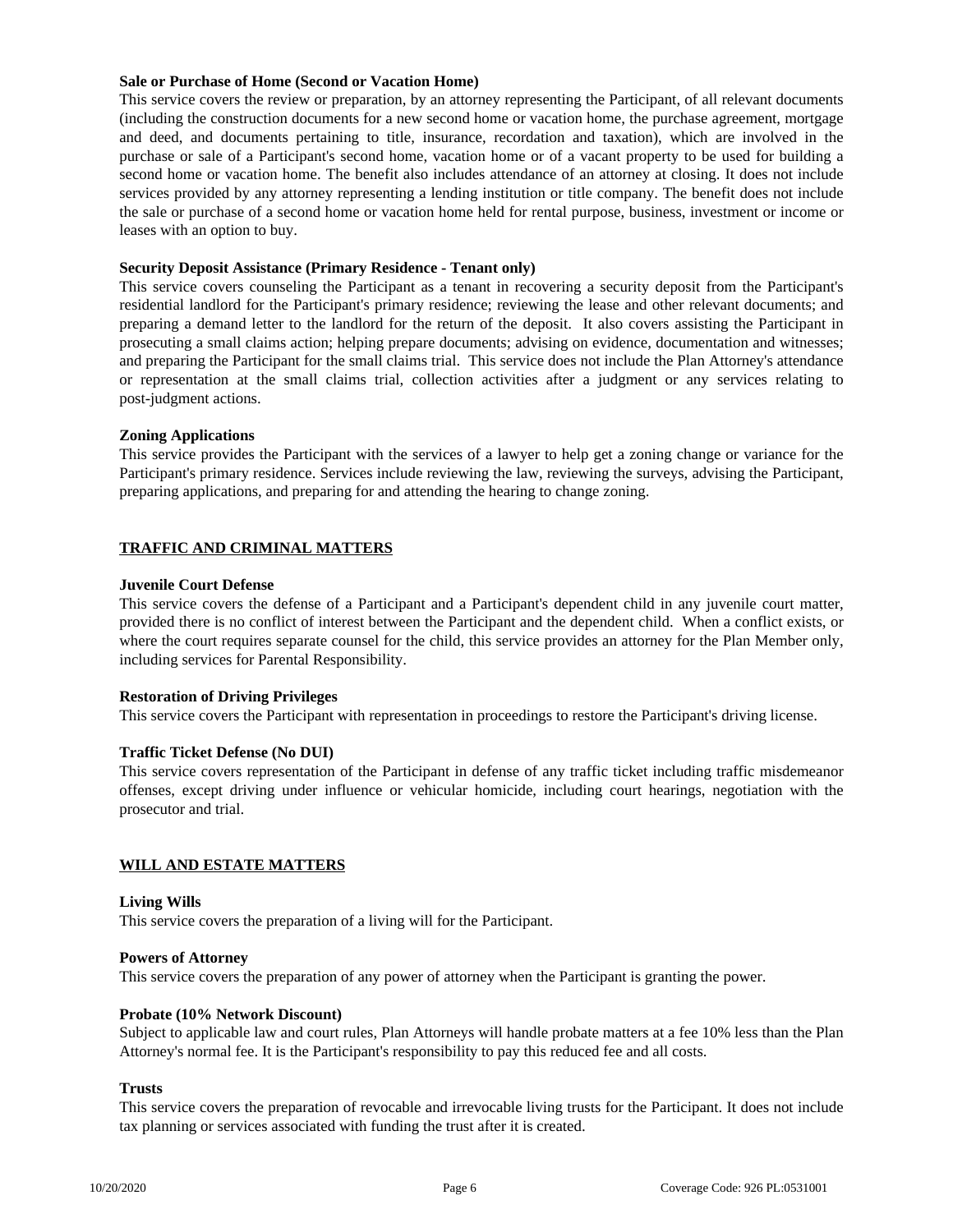## **Sale or Purchase of Home (Second or Vacation Home)**

This service covers the review or preparation, by an attorney representing the Participant, of all relevant documents (including the construction documents for a new second home or vacation home, the purchase agreement, mortgage and deed, and documents pertaining to title, insurance, recordation and taxation), which are involved in the purchase or sale of a Participant's second home, vacation home or of a vacant property to be used for building a second home or vacation home. The benefit also includes attendance of an attorney at closing. It does not include services provided by any attorney representing a lending institution or title company. The benefit does not include the sale or purchase of a second home or vacation home held for rental purpose, business, investment or income or leases with an option to buy.

## **Security Deposit Assistance (Primary Residence - Tenant only)**

This service covers counseling the Participant as a tenant in recovering a security deposit from the Participant's residential landlord for the Participant's primary residence; reviewing the lease and other relevant documents; and preparing a demand letter to the landlord for the return of the deposit. It also covers assisting the Participant in prosecuting a small claims action; helping prepare documents; advising on evidence, documentation and witnesses; and preparing the Participant for the small claims trial. This service does not include the Plan Attorney's attendance or representation at the small claims trial, collection activities after a judgment or any services relating to post-judgment actions.

## **Zoning Applications**

This service provides the Participant with the services of a lawyer to help get a zoning change or variance for the Participant's primary residence. Services include reviewing the law, reviewing the surveys, advising the Participant, preparing applications, and preparing for and attending the hearing to change zoning.

# **TRAFFIC AND CRIMINAL MATTERS**

## **Juvenile Court Defense**

This service covers the defense of a Participant and a Participant's dependent child in any juvenile court matter, provided there is no conflict of interest between the Participant and the dependent child. When a conflict exists, or where the court requires separate counsel for the child, this service provides an attorney for the Plan Member only, including services for Parental Responsibility.

# **Restoration of Driving Privileges**

This service covers the Participant with representation in proceedings to restore the Participant's driving license.

# **Traffic Ticket Defense (No DUI)**

This service covers representation of the Participant in defense of any traffic ticket including traffic misdemeanor offenses, except driving under influence or vehicular homicide, including court hearings, negotiation with the prosecutor and trial.

#### **WILL AND ESTATE MATTERS**

#### **Living Wills**

This service covers the preparation of a living will for the Participant.

#### **Powers of Attorney**

This service covers the preparation of any power of attorney when the Participant is granting the power.

#### **Probate (10% Network Discount)**

Subject to applicable law and court rules, Plan Attorneys will handle probate matters at a fee 10% less than the Plan Attorney's normal fee. It is the Participant's responsibility to pay this reduced fee and all costs.

### **Trusts**

This service covers the preparation of revocable and irrevocable living trusts for the Participant. It does not include tax planning or services associated with funding the trust after it is created.